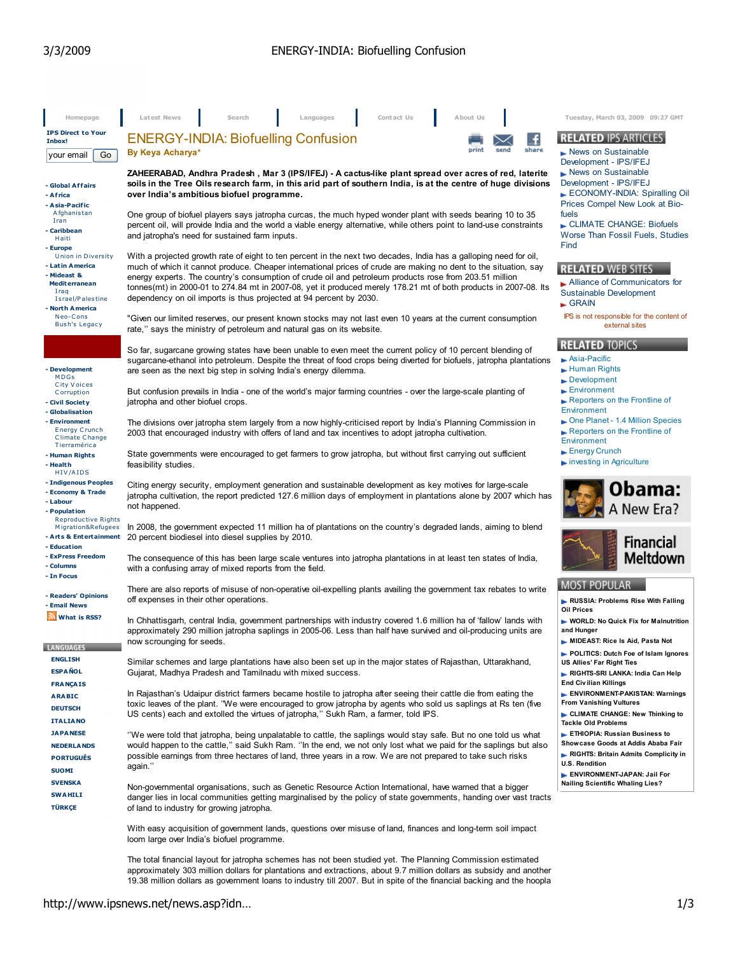| Homepage                                     | Latest News<br>Search<br>Contact Us<br>About Us<br>Languages                                                                                                                                                                    | Tuesday, March 03, 2009 09:27 GMT                                      |
|----------------------------------------------|---------------------------------------------------------------------------------------------------------------------------------------------------------------------------------------------------------------------------------|------------------------------------------------------------------------|
| <b>IPS Direct to Your</b>                    | <b>ENERGY-INDIA: Biofuelling Confusion</b>                                                                                                                                                                                      | <b>RELATED IPS ARTICLES</b>                                            |
| Inbox!<br>Go<br>your email                   | share<br>print<br>send<br>By Keya Acharya*                                                                                                                                                                                      | $\blacktriangleright$ News on Sustainable                              |
|                                              |                                                                                                                                                                                                                                 | Development - IPS/IFEJ                                                 |
| - Global Affairs                             | ZAHEERABAD, Andhra Pradesh, Mar 3 (IPS/IFEJ) - A cactus-like plant spread over acres of red, laterite<br>soils in the Tree Oils research farm, in this arid part of southern India, is at the centre of huge divisions          | $\blacktriangleright$ News on Sustainable<br>Development - IPS/IFEJ    |
| - Africa                                     | over India's ambitious biofuel programme.                                                                                                                                                                                       | ECONOMY-INDIA: Spiralling Oil                                          |
| - Asia-Pacific<br>Afghanistan                | One group of biofuel players says jatropha curcas, the much hyped wonder plant with seeds bearing 10 to 35                                                                                                                      | Prices Compel New Look at Bio-<br>fuels                                |
| Iran<br>- Caribbean                          | percent oil, will provide India and the world a viable energy alternative, while others point to land-use constraints                                                                                                           | CLIMATE CHANGE: Biofuels                                               |
| Haiti                                        | and jatropha's need for sustained farm inputs.                                                                                                                                                                                  | Worse Than Fossil Fuels, Studies<br>Find                               |
| - Europe<br>Union in Diversity               | With a projected growth rate of eight to ten percent in the next two decades, India has a galloping need for oil,                                                                                                               |                                                                        |
| - Latin America<br>- Mideast &               | much of which it cannot produce. Cheaper international prices of crude are making no dent to the situation, say                                                                                                                 | <b>RELATED WEB SITES</b>                                               |
| <b>Mediterranean</b>                         | energy experts. The country's consumption of crude oil and petroleum products rose from 203.51 million<br>tonnes(mt) in 2000-01 to 274.84 mt in 2007-08, yet it produced merely 178.21 mt of both products in 2007-08. Its      | Alliance of Communicators for                                          |
| Iraq<br>Israel/Palestine                     | dependency on oil imports is thus projected at 94 percent by 2030.                                                                                                                                                              | Sustainable Development<br>$\blacktriangleright$ GRAIN                 |
| - North America<br>Neo-Cons                  |                                                                                                                                                                                                                                 | IPS is not responsible for the content of                              |
| <b>Bush's Legacy</b>                         | "Given our limited reserves, our present known stocks may not last even 10 years at the current consumption<br>rate," says the ministry of petroleum and natural gas on its website.                                            | external sites                                                         |
|                                              | So far, sugarcane growing states have been unable to even meet the current policy of 10 percent blending of                                                                                                                     | <b>RELATED TOPICS</b>                                                  |
|                                              | sugarcane-ethanol into petroleum. Despite the threat of food crops being diverted for biofuels, jatropha plantations                                                                                                            | $\blacktriangleright$ Asia-Pacific                                     |
| - Development<br>MDGs                        | are seen as the next big step in solving India's energy dilemma.                                                                                                                                                                | $\blacktriangleright$ Human Rights                                     |
| City Voices<br>Corruption                    | But confusion prevails in India - one of the world's major farming countries - over the large-scale planting of                                                                                                                 | $\blacktriangleright$ Development<br>Environment                       |
| - Civil Society                              | jatropha and other biofuel crops.                                                                                                                                                                                               | Reporters on the Frontline of                                          |
| - Globalisation                              |                                                                                                                                                                                                                                 | Environment<br>One Planet - 1.4 Million Species                        |
| - Environment<br><b>Energy Crunch</b>        | The divisions over jatropha stem largely from a now highly-criticised report by India's Planning Commission in<br>2003 that encouraged industry with offers of land and tax incentives to adopt jatropha cultivation.           | Reporters on the Frontline of                                          |
| <b>Climate Change</b><br>Tierramérica        |                                                                                                                                                                                                                                 | Environment                                                            |
| - Human Rights<br>- Health                   | State governments were encouraged to get farmers to grow jatropha, but without first carrying out sufficient<br>feasibility studies.                                                                                            | $\blacktriangleright$ Energy Crunch<br>investing in Agriculture        |
| HIV/AIDS                                     |                                                                                                                                                                                                                                 |                                                                        |
| - Indigenous Peoples<br>- Economy & Trade    | Citing energy security, employment generation and sustainable development as key motives for large-scale                                                                                                                        | Obama:                                                                 |
| - Labour                                     | jatropha cultivation, the report predicted 127.6 million days of employment in plantations alone by 2007 which has<br>not happened.                                                                                             | A New Era?                                                             |
| - Population<br><b>Reproductive Rights</b>   |                                                                                                                                                                                                                                 |                                                                        |
| Migration&Refugees<br>- Arts & Entertainment | In 2008, the government expected 11 million ha of plantations on the country's degraded lands, aiming to blend<br>20 percent biodiesel into diesel supplies by 2010.                                                            |                                                                        |
| - Education                                  |                                                                                                                                                                                                                                 | <b>Financial</b>                                                       |
| - ExPress Freedom<br>- Columns               | The consequence of this has been large scale ventures into jatropha plantations in at least ten states of India,                                                                                                                | Meltdown                                                               |
| - In Focus                                   | with a confusing array of mixed reports from the field.                                                                                                                                                                         |                                                                        |
| - Readers' Opinions                          | There are also reports of misuse of non-operative oil-expelling plants availing the government tax rebates to write                                                                                                             | <b>MOST POPULAR</b>                                                    |
| - Email News                                 | off expenses in their other operations.                                                                                                                                                                                         | RUSSIA: Problems Rise With Falling<br><b>Oil Prices</b>                |
| What is RSS?                                 | In Chhattisgarh, central India, government partnerships with industry covered 1.6 million ha of 'fallow' lands with                                                                                                             | WORLD: No Quick Fix for Malnutrition                                   |
|                                              | approximately 290 million jatropha saplings in 2005-06. Less than half have survived and oil-producing units are<br>now scrounging for seeds.                                                                                   | and Hunger<br>MIDEAST: Rice Is Aid, Pasta Not                          |
| <b>LANGUAGES</b>                             |                                                                                                                                                                                                                                 | POLITICS: Dutch Foe of Islam Ignores                                   |
| <b>ENGLISH</b><br><b>ESPAÑOL</b>             | Similar schemes and large plantations have also been set up in the major states of Rajasthan, Uttarakhand,                                                                                                                      | US Allies' Far Right Ties                                              |
| <b>FRANÇAIS</b>                              | Gujarat, Madhya Pradesh and Tamilnadu with mixed success.                                                                                                                                                                       | RIGHTS-SRI LANKA: India Can Help<br><b>End Civilian Killings</b>       |
| <b>ARABIC</b>                                | In Rajasthan's Udaipur district farmers became hostile to jatropha after seeing their cattle die from eating the                                                                                                                | ENVIRONMENT-PAKISTAN: Warnings                                         |
| <b>DEUTSCH</b>                               | toxic leaves of the plant. "We were encouraged to grow jatropha by agents who sold us saplings at Rs ten (five<br>US cents) each and extolled the virtues of jatropha," Sukh Ram, a farmer, told IPS.                           | <b>From Vanishing Vultures</b><br>CLIMATE CHANGE: New Thinking to      |
| <b>ITALIANO</b>                              |                                                                                                                                                                                                                                 | <b>Tackle Old Problems</b>                                             |
| <b>JAPANESE</b>                              | "We were told that jatropha, being unpalatable to cattle, the saplings would stay safe. But no one told us what                                                                                                                 | ETHIOPIA: Russian Business to<br>Showcase Goods at Addis Ababa Fair    |
| <b>NEDERLANDS</b><br><b>PORTUGUÊS</b>        | would happen to the cattle," said Sukh Ram. "In the end, we not only lost what we paid for the saplings but also<br>possible earnings from three hectares of land, three years in a row. We are not prepared to take such risks | RIGHTS: Britain Admits Complicity in                                   |
| <b>SUOMI</b>                                 | again."                                                                                                                                                                                                                         | <b>U.S. Rendition</b>                                                  |
| <b>SVENSKA</b>                               | Non-governmental organisations, such as Genetic Resource Action International, have warned that a bigger                                                                                                                        | ENVIRONMENT-JAPAN: Jail For<br><b>Nailing Scientific Whaling Lies?</b> |
| <b>SWAHILI</b>                               | danger lies in local communities getting marginalised by the policy of state governments, handing over vast tracts                                                                                                              |                                                                        |
| <b>TÜRKÇE</b>                                | of land to industry for growing jatropha.                                                                                                                                                                                       |                                                                        |
|                                              | With easy acquisition of government lands, questions over misuse of land, finances and long-term soil impact                                                                                                                    |                                                                        |
|                                              | loom large over India's biofuel programme.                                                                                                                                                                                      |                                                                        |
|                                              | The total financial layout for jatropha schemes has not been studied yet. The Planning Commission estimated                                                                                                                     |                                                                        |

approximately 303 million dollars for plantations and extractions, about 9.7 million dollars as subsidy and another 19.38 million dollars as government loans to industry till 2007. But in spite of the financial backing and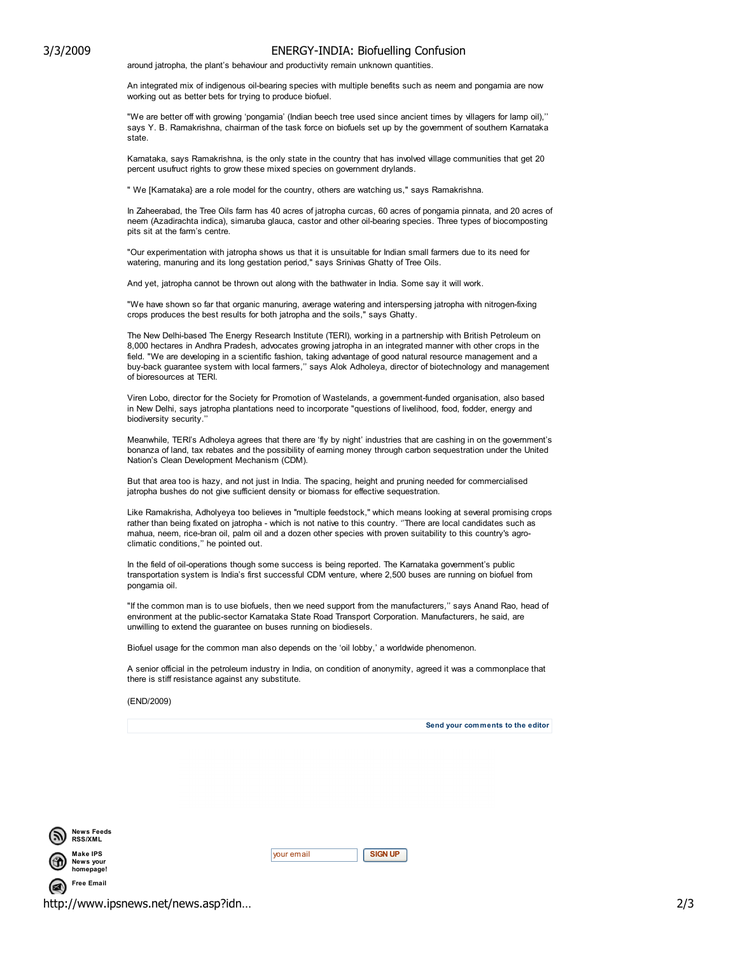## 3/3/2009 ENERGY-INDIA: Biofuelling Confusion

around jatropha, the plant's behaviour and productivity remain unknown quantities.

An integrated mix of indigenous oil-bearing species with multiple benefits such as neem and pongamia are now working out as better bets for trying to produce biofuel.

"We are better off with growing 'pongamia' (Indian beech tree used since ancient times by villagers for lamp oil),'' says Y. B. Ramakrishna, chairman of the task force on biofuels set up by the government of southern Karnataka state.

Karnataka, says Ramakrishna, is the only state in the country that has involved village communities that get 20 percent usufruct rights to grow these mixed species on government drylands.

" We [Karnataka} are a role model for the country, others are watching us," says Ramakrishna.

In Zaheerabad, the Tree Oils farm has 40 acres of jatropha curcas, 60 acres of pongamia pinnata, and 20 acres of neem (Azadirachta indica), simaruba glauca, castor and other oil-bearing species. Three types of biocomposting pits sit at the farm's centre.

"Our experimentation with jatropha shows us that it is unsuitable for Indian small farmers due to its need for watering, manuring and its long gestation period," says Srinivas Ghatty of Tree Oils.

And yet, jatropha cannot be thrown out along with the bathwater in India. Some say it will work.

"We have shown so far that organic manuring, average watering and interspersing jatropha with nitrogen-fixing crops produces the best results for both jatropha and the soils," says Ghatty.

The New Delhi-based The Energy Research Institute (TERI), working in a partnership with British Petroleum on 8,000 hectares in Andhra Pradesh, advocates growing jatropha in an integrated manner with other crops in the field. "We are developing in a scientific fashion, taking advantage of good natural resource management and a buy-back guarantee system with local farmers,'' says Alok Adholeya, director of biotechnology and management of bioresources at TERI.

Viren Lobo, director for the Society for Promotion of Wastelands, a government-funded organisation, also based in New Delhi, says jatropha plantations need to incorporate "questions of livelihood, food, fodder, energy and biodiversity security.

Meanwhile, TERI's Adholeya agrees that there are 'fly by night' industries that are cashing in on the government's bonanza of land, tax rebates and the possibility of earning money through carbon sequestration under the United Nation's Clean Development Mechanism (CDM).

But that area too is hazy, and not just in India. The spacing, height and pruning needed for commercialised jatropha bushes do not give sufficient density or biomass for effective sequestration.

Like Ramakrisha, Adholyeya too believes in ''multiple feedstock,'' which means looking at several promising crops rather than being fixated on jatropha - which is not native to this country. ''There are local candidates such as mahua, neem, rice-bran oil, palm oil and a dozen other species with proven suitability to this country's agroclimatic conditions,'' he pointed out.

In the field of oil-operations though some success is being reported. The Karnataka government's public transportation system is India's first successful CDM venture, where 2,500 buses are running on biofuel from pongamia oil.

"If the common man is to use biofuels, then we need support from the manufacturers,'' says Anand Rao, head of environment at the public-sector Karnataka State Road Transport Corporation. Manufacturers, he said, are unwilling to extend the guarantee on buses running on biodiesels.

Biofuel usage for the common man also depends on the 'oil lobby,' a worldwide phenomenon.

A senior official in the petroleum industry in India, on condition of anonymity, agreed it was a commonplace that there is stiff resistance against any substitute.

## (END/2009)



Send your comments to the editor